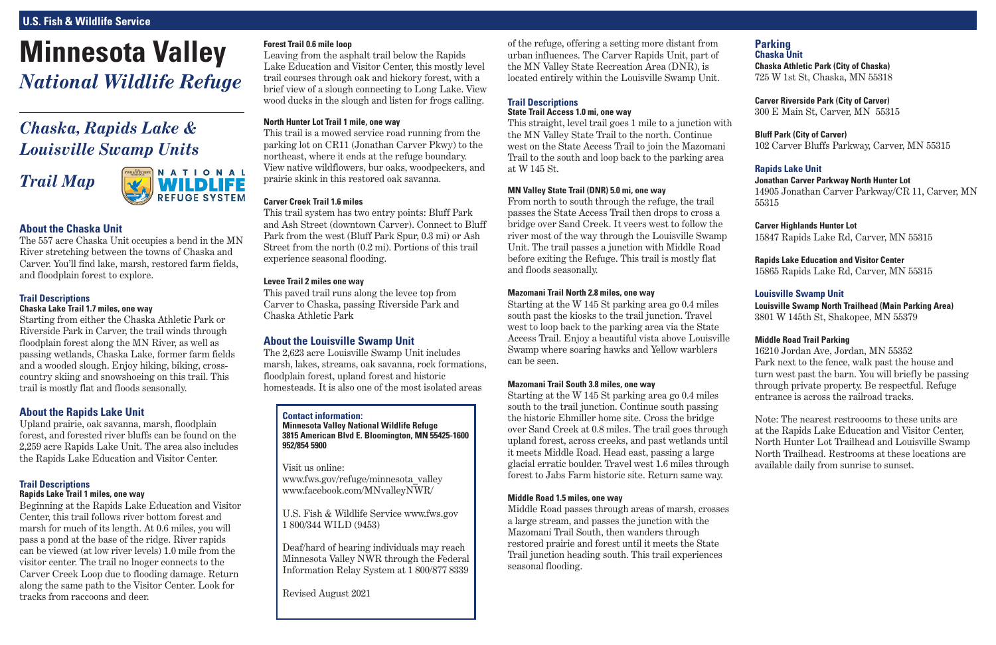# **Minnesota Valley** *National Wildlife Refuge*

# **U.S. Fish & Wildlife Service**

# **Parking Chaska Unit**

**Chaska Athletic Park (City of Chaska)**  725 W 1st St, Chaska, MN 55318

**Carver Riverside Park (City of Carver)** 300 E Main St, Carver, MN 55315

**Bluff Park (City of Carver)** 102 Carver Bluffs Parkway, Carver, MN 55315

# **Rapids Lake Unit**

**Jonathan Carver Parkway North Hunter Lot**  14905 Jonathan Carver Parkway/CR 11, Carver, MN 55315

**Carver Highlands Hunter Lot** 15847 Rapids Lake Rd, Carver, MN 55315

**Rapids Lake Education and Visitor Center**  15865 Rapids Lake Rd, Carver, MN 55315

# **Louisville Swamp Unit**

**Louisville Swamp North Trailhead (Main Parking Area)**  3801 W 145th St, Shakopee, MN 55379

# **Middle Road Trail Parking**

16210 Jordan Ave, Jordan, MN 55352 Park next to the fence, walk past the house and turn west past the barn. You will briefly be passing through private property. Be respectful. Refuge entrance is across the railroad tracks.

Note: The nearest restroooms to these units are at the Rapids Lake Education and Visitor Center, North Hunter Lot Trailhead and Louisville Swamp North Trailhead. Restrooms at these locations are available daily from sunrise to sunset.

of the refuge, offering a setting more distant from urban influences. The Carver Rapids Unit, part of the MN Valley State Recreation Area (DNR), is located entirely within the Louisville Swamp Unit.

# **Trail Descriptions**

### **State Trail Access 1.0 mi, one way**

This straight, level trail goes 1 mile to a junction with the MN Valley State Trail to the north. Continue west on the State Access Trail to join the Mazomani Trail to the south and loop back to the parking area at W 145 St.

#### **MN Valley State Trail (DNR) 5.0 mi, one way**

From north to south through the refuge, the trail passes the State Access Trail then drops to cross a bridge over Sand Creek. It veers west to follow the river most of the way through the Louisville Swamp Unit. The trail passes a junction with Middle Road before exiting the Refuge. This trail is mostly flat and floods seasonally.

#### **Mazomani Trail North 2.8 miles, one way**

Starting at the W 145 St parking area go 0.4 miles south past the kiosks to the trail junction. Travel west to loop back to the parking area via the State Access Trail. Enjoy a beautiful vista above Louisville Swamp where soaring hawks and Yellow warblers can be seen.

#### **Mazomani Trail South 3.8 miles, one way**

Starting at the W 145 St parking area go 0.4 miles south to the trail junction. Continue south passing the historic Ehmiller home site. Cross the bridge over Sand Creek at 0.8 miles. The trail goes through upland forest, across creeks, and past wetlands until it meets Middle Road. Head east, passing a large glacial erratic boulder. Travel west 1.6 miles through forest to Jabs Farm historic site. Return same way.

#### **Middle Road 1.5 miles, one way**

Middle Road passes through areas of marsh, crosses a large stream, and passes the junction with the Mazomani Trail South, then wanders through restored prairie and forest until it meets the State Trail junction heading south. This trail experiences seasonal flooding.

# **About the Chaska Unit**

The 557 acre Chaska Unit occupies a bend in the MN River stretching between the towns of Chaska and Carver. You'll find lake, marsh, restored farm fields, and floodplain forest to explore.

# **Trail Descriptions**

# **Chaska Lake Trail 1.7 miles, one way**

Starting from either the Chaska Athletic Park or Riverside Park in Carver, the trail winds through floodplain forest along the MN River, as well as passing wetlands, Chaska Lake, former farm fields and a wooded slough. Enjoy hiking, biking, crosscountry skiing and snowshoeing on this trail. This trail is mostly flat and floods seasonally.

# **About the Rapids Lake Unit**

Upland prairie, oak savanna, marsh, floodplain forest, and forested river bluffs can be found on the 2,259 acre Rapids Lake Unit. The area also includes the Rapids Lake Education and Visitor Center.

#### **Trail Descriptions Rapids Lake Trail 1 miles, one way**

Beginning at the Rapids Lake Education and Visitor Center, this trail follows river bottom forest and marsh for much of its length. At 0.6 miles, you will pass a pond at the base of the ridge. River rapids can be viewed (at low river levels) 1.0 mile from the visitor center. The trail no lnoger connects to the Carver Creek Loop due to flooding damage. Return along the same path to the Visitor Center. Look for tracks from raccoons and deer.

#### **Forest Trail 0.6 mile loop**

Leaving from the asphalt trail below the Rapids Lake Education and Visitor Center, this mostly level trail courses through oak and hickory forest, with a brief view of a slough connecting to Long Lake. View wood ducks in the slough and listen for frogs calling.

### **North Hunter Lot Trail 1 mile, one way**

This trail is a mowed service road running from the parking lot on CR11 (Jonathan Carver Pkwy) to the northeast, where it ends at the refuge boundary. View native wildflowers, bur oaks, woodpeckers, and prairie skink in this restored oak savanna.

#### **Carver Creek Trail 1.6 miles**

This trail system has two entry points: Bluff Park and Ash Street (downtown Carver). Connect to Bluff Park from the west (Bluff Park Spur, 0.3 mi) or Ash Street from the north (0.2 mi). Portions of this trail experience seasonal flooding.

#### **Levee Trail 2 miles one way**

This paved trail runs along the levee top from Carver to Chaska, passing Riverside Park and Chaska Athletic Park

# **About the Louisville Swamp Unit**

The 2,623 acre Louisville Swamp Unit includes marsh, lakes, streams, oak savanna, rock formations, floodplain forest, upland forest and historic homesteads. It is also one of the most isolated areas

#### **Contact information: Minnesota Valley National Wildlife Refuge 3815 American Blvd E. Bloomington, MN 55425-1600 952/854 5900**

Visit us online: www.fws.gov/refuge/minnesota\_valley www.facebook.com/MNvalleyNWR/

U.S. Fish & Wildlife Service www.fws.gov 1 800/344 WILD (9453)

Deaf/hard of hearing individuals may reach Minnesota Valley NWR through the Federal Information Relay System at 1 800/877 8339

Revised August 2021

# *Chaska, Rapids Lake & Louisville Swamp Units*

# *Trail Map*